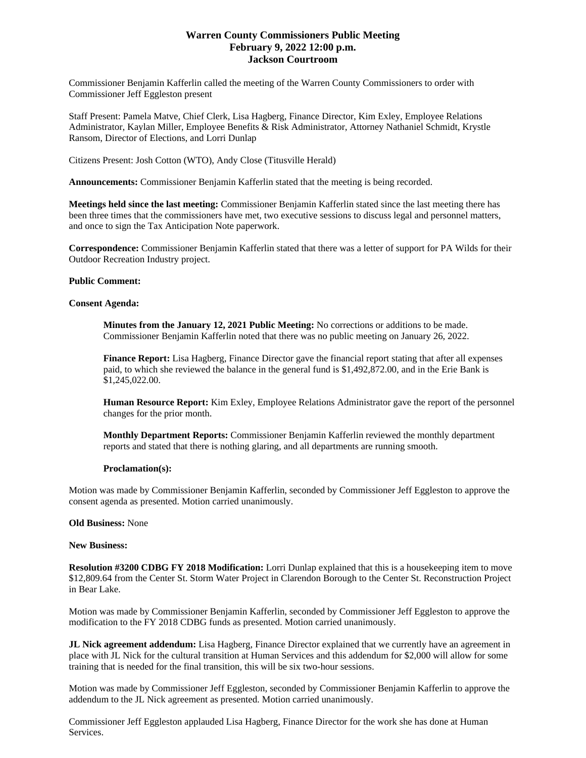# **Warren County Commissioners Public Meeting February 9, 2022 12:00 p.m. Jackson Courtroom**

Commissioner Benjamin Kafferlin called the meeting of the Warren County Commissioners to order with Commissioner Jeff Eggleston present

Staff Present: Pamela Matve, Chief Clerk, Lisa Hagberg, Finance Director, Kim Exley, Employee Relations Administrator, Kaylan Miller, Employee Benefits & Risk Administrator, Attorney Nathaniel Schmidt, Krystle Ransom, Director of Elections, and Lorri Dunlap

Citizens Present: Josh Cotton (WTO), Andy Close (Titusville Herald)

**Announcements:** Commissioner Benjamin Kafferlin stated that the meeting is being recorded.

**Meetings held since the last meeting:** Commissioner Benjamin Kafferlin stated since the last meeting there has been three times that the commissioners have met, two executive sessions to discuss legal and personnel matters, and once to sign the Tax Anticipation Note paperwork.

**Correspondence:** Commissioner Benjamin Kafferlin stated that there was a letter of support for PA Wilds for their Outdoor Recreation Industry project.

## **Public Comment:**

### **Consent Agenda:**

**Minutes from the January 12, 2021 Public Meeting:** No corrections or additions to be made. Commissioner Benjamin Kafferlin noted that there was no public meeting on January 26, 2022.

**Finance Report:** Lisa Hagberg, Finance Director gave the financial report stating that after all expenses paid, to which she reviewed the balance in the general fund is \$1,492,872.00, and in the Erie Bank is \$1,245,022.00.

**Human Resource Report:** Kim Exley, Employee Relations Administrator gave the report of the personnel changes for the prior month.

**Monthly Department Reports:** Commissioner Benjamin Kafferlin reviewed the monthly department reports and stated that there is nothing glaring, and all departments are running smooth.

### **Proclamation(s):**

Motion was made by Commissioner Benjamin Kafferlin, seconded by Commissioner Jeff Eggleston to approve the consent agenda as presented. Motion carried unanimously.

### **Old Business:** None

### **New Business:**

**Resolution #3200 CDBG FY 2018 Modification:** Lorri Dunlap explained that this is a housekeeping item to move \$12,809.64 from the Center St. Storm Water Project in Clarendon Borough to the Center St. Reconstruction Project in Bear Lake.

Motion was made by Commissioner Benjamin Kafferlin, seconded by Commissioner Jeff Eggleston to approve the modification to the FY 2018 CDBG funds as presented. Motion carried unanimously.

**JL Nick agreement addendum:** Lisa Hagberg, Finance Director explained that we currently have an agreement in place with JL Nick for the cultural transition at Human Services and this addendum for \$2,000 will allow for some training that is needed for the final transition, this will be six two-hour sessions.

Motion was made by Commissioner Jeff Eggleston, seconded by Commissioner Benjamin Kafferlin to approve the addendum to the JL Nick agreement as presented. Motion carried unanimously.

Commissioner Jeff Eggleston applauded Lisa Hagberg, Finance Director for the work she has done at Human Services.